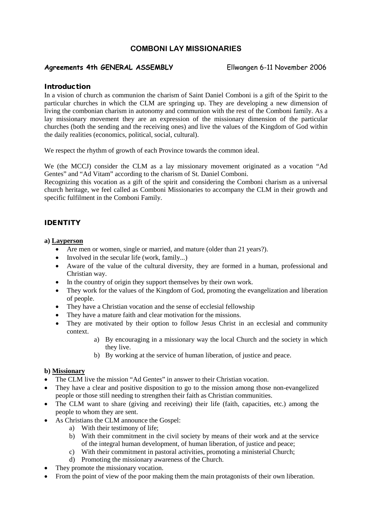## **COMBONI LAY MISSIONARIES**

## **Agreements 4th GENERAL ASSEMBLY** Ellwangen 6-11 November 2006

#### **Introduction**

In a vision of church as communion the charism of Saint Daniel Comboni is a gift of the Spirit to the particular churches in which the CLM are springing up. They are developing a new dimension of living the combonian charism in autonomy and communion with the rest of the Comboni family. As a lay missionary movement they are an expression of the missionary dimension of the particular churches (both the sending and the receiving ones) and live the values of the Kingdom of God within the daily realities (economics, political, social, cultural).

We respect the rhythm of growth of each Province towards the common ideal.

We (the MCCJ) consider the CLM as a lay missionary movement originated as a vocation "Ad Gentes" and "Ad Vitam" according to the charism of St. Daniel Comboni.

Recognizing this vocation as a gift of the spirit and considering the Comboni charism as a universal church heritage, we feel called as Comboni Missionaries to accompany the CLM in their growth and specific fulfilment in the Comboni Family.

### IDENTITY

#### **a) Layperson**

- Are men or women, single or married, and mature (older than 21 years?).
- Involved in the secular life (work, family...)
- Aware of the value of the cultural diversity, they are formed in a human, professional and Christian way.
- In the country of origin they support themselves by their own work.
- They work for the values of the Kingdom of God, promoting the evangelization and liberation of people.
- They have a Christian vocation and the sense of ecclesial fellowship
- They have a mature faith and clear motivation for the missions.
- They are motivated by their option to follow Jesus Christ in an ecclesial and community context.
	- a) By encouraging in a missionary way the local Church and the society in which they live.
	- b) By working at the service of human liberation, of justice and peace.

#### **b) Missionary**

- The CLM live the mission "Ad Gentes" in answer to their Christian vocation.
- They have a clear and positive disposition to go to the mission among those non-evangelized people or those still needing to strengthen their faith as Christian communities.
- The CLM want to share (giving and receiving) their life (faith, capacities, etc.) among the people to whom they are sent.
- As Christians the CLM announce the Gospel:
	- a) With their testimony of life;
	- b) With their commitment in the civil society by means of their work and at the service of the integral human development, of human liberation, of justice and peace;
	- c) With their commitment in pastoral activities, promoting a ministerial Church;
	- d) Promoting the missionary awareness of the Church.
- They promote the missionary vocation.
- From the point of view of the poor making them the main protagonists of their own liberation.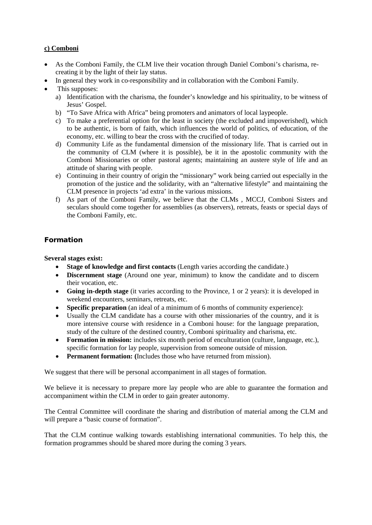### **c) Comboni**

- As the Comboni Family, the CLM live their vocation through Daniel Comboni's charisma, recreating it by the light of their lay status.
- In general they work in co-responsibility and in collaboration with the Comboni Family.
- This supposes:
	- a) Identification with the charisma, the founder's knowledge and his spirituality, to be witness of Jesus' Gospel.
	- b) "To Save Africa with Africa" being promoters and animators of local laypeople.
	- c) To make a preferential option for the least in society (the excluded and impoverished), which to be authentic, is born of faith, which influences the world of politics, of education, of the economy, etc. willing to bear the cross with the crucified of today.
	- d) Community Life as the fundamental dimension of the missionary life. That is carried out in the community of CLM (where it is possible), be it in the apostolic community with the Comboni Missionaries or other pastoral agents; maintaining an austere style of life and an attitude of sharing with people.
	- e) Continuing in their country of origin the "missionary" work being carried out especially in the promotion of the justice and the solidarity, with an "alternative lifestyle" and maintaining the CLM presence in projects 'ad extra' in the various missions.
	- f) As part of the Comboni Family, we believe that the CLMs , MCCJ, Comboni Sisters and seculars should come together for assemblies (as observers), retreats, feasts or special days of the Comboni Family, etc.

## Formation

**Several stages exist:**

- **Stage of knowledge and first contacts** (Length varies according the candidate.)
- **Discernment stage** (Around one year, minimum) to know the candidate and to discern their vocation, etc.
- **Going in-depth stage** (it varies according to the Province, 1 or 2 years): it is developed in weekend encounters, seminars, retreats, etc.
- **Specific preparation** (an ideal of a minimum of 6 months of community experience):
- Usually the CLM candidate has a course with other missionaries of the country, and it is more intensive course with residence in a Comboni house: for the language preparation, study of the culture of the destined country, Comboni spirituality and charisma, etc.
- **Formation in mission:** includes six month period of enculturation (culture, language, etc.), specific formation for lay people, supervision from someone outside of mission.
- **Permanent formation: (**Includes those who have returned from mission).

We suggest that there will be personal accompaniment in all stages of formation.

We believe it is necessary to prepare more lay people who are able to guarantee the formation and accompaniment within the CLM in order to gain greater autonomy.

The Central Committee will coordinate the sharing and distribution of material among the CLM and will prepare a "basic course of formation".

That the CLM continue walking towards establishing international communities. To help this, the formation programmes should be shared more during the coming 3 years.